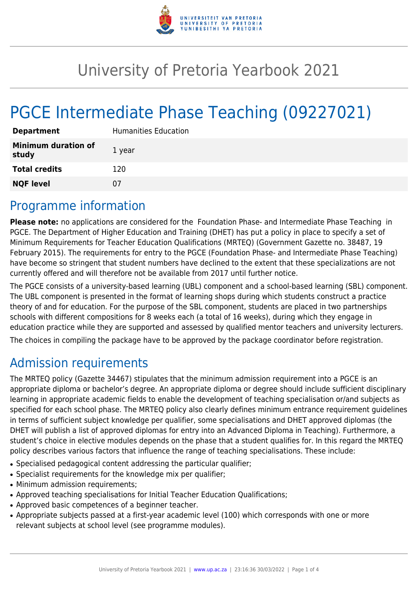

# University of Pretoria Yearbook 2021

# PGCE Intermediate Phase Teaching (09227021)

| <b>Department</b>                   | <b>Humanities Education</b> |
|-------------------------------------|-----------------------------|
| <b>Minimum duration of</b><br>study | 1 year                      |
| <b>Total credits</b>                | 120                         |
| <b>NQF level</b>                    | 07                          |

### Programme information

**Please note:** no applications are considered for the Foundation Phase- and Intermediate Phase Teaching in PGCE. The Department of Higher Education and Training (DHET) has put a policy in place to specify a set of Minimum Requirements for Teacher Education Qualifications (MRTEQ) (Government Gazette no. 38487, 19 February 2015). The requirements for entry to the PGCE (Foundation Phase- and Intermediate Phase Teaching) have become so stringent that student numbers have declined to the extent that these specializations are not currently offered and will therefore not be available from 2017 until further notice.

The PGCE consists of a university-based learning (UBL) component and a school-based learning (SBL) component. The UBL component is presented in the format of learning shops during which students construct a practice theory of and for education. For the purpose of the SBL component, students are placed in two partnerships schools with different compositions for 8 weeks each (a total of 16 weeks), during which they engage in education practice while they are supported and assessed by qualified mentor teachers and university lecturers.

The choices in compiling the package have to be approved by the package coordinator before registration.

# Admission requirements

The MRTEQ policy (Gazette 34467) stipulates that the minimum admission requirement into a PGCE is an appropriate diploma or bachelor's degree. An appropriate diploma or degree should include sufficient disciplinary learning in appropriate academic fields to enable the development of teaching specialisation or/and subjects as specified for each school phase. The MRTEQ policy also clearly defines minimum entrance requirement guidelines in terms of sufficient subject knowledge per qualifier, some specialisations and DHET approved diplomas (the DHET will publish a list of approved diplomas for entry into an Advanced Diploma in Teaching). Furthermore, a student's choice in elective modules depends on the phase that a student qualifies for. In this regard the MRTEQ policy describes various factors that influence the range of teaching specialisations. These include:

- Specialised pedagogical content addressing the particular qualifier;
- Specialist requirements for the knowledge mix per qualifier;
- Minimum admission requirements;
- Approved teaching specialisations for Initial Teacher Education Qualifications;
- Approved basic competences of a beginner teacher.
- Appropriate subjects passed at a first-year academic level (100) which corresponds with one or more relevant subjects at school level (see programme modules).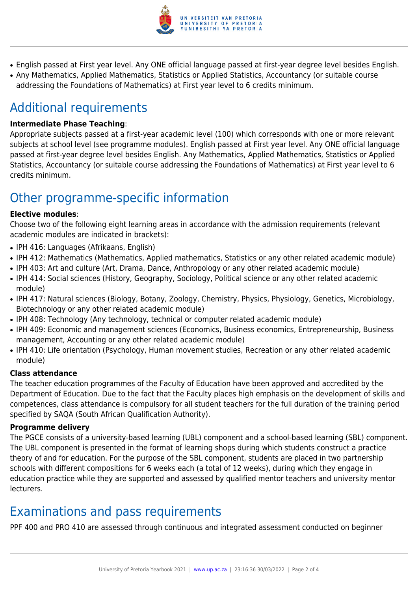

- English passed at First year level. Any ONE official language passed at first-year degree level besides English.
- Any Mathematics, Applied Mathematics, Statistics or Applied Statistics, Accountancy (or suitable course addressing the Foundations of Mathematics) at First year level to 6 credits minimum.

# Additional requirements

#### **Intermediate Phase Teaching**:

Appropriate subjects passed at a first-year academic level (100) which corresponds with one or more relevant subjects at school level (see programme modules). English passed at First year level. Any ONE official language passed at first-year degree level besides English. Any Mathematics, Applied Mathematics, Statistics or Applied Statistics, Accountancy (or suitable course addressing the Foundations of Mathematics) at First year level to 6 credits minimum.

### Other programme-specific information

#### **Elective modules**:

Choose two of the following eight learning areas in accordance with the admission requirements (relevant academic modules are indicated in brackets):

- IPH 416: Languages (Afrikaans, English)
- IPH 412: Mathematics (Mathematics, Applied mathematics, Statistics or any other related academic module)
- IPH 403: Art and culture (Art, Drama, Dance, Anthropology or any other related academic module)
- IPH 414: Social sciences (History, Geography, Sociology, Political science or any other related academic module)
- IPH 417: Natural sciences (Biology, Botany, Zoology, Chemistry, Physics, Physiology, Genetics, Microbiology, Biotechnology or any other related academic module)
- IPH 408: Technology (Any technology, technical or computer related academic module)
- IPH 409: Economic and management sciences (Economics, Business economics, Entrepreneurship, Business management, Accounting or any other related academic module)
- IPH 410: Life orientation (Psychology, Human movement studies, Recreation or any other related academic module)

#### **Class attendance**

The teacher education programmes of the Faculty of Education have been approved and accredited by the Department of Education. Due to the fact that the Faculty places high emphasis on the development of skills and competences, class attendance is compulsory for all student teachers for the full duration of the training period specified by SAQA (South African Qualification Authority).

#### **Programme delivery**

The PGCE consists of a university-based learning (UBL) component and a school-based learning (SBL) component. The UBL component is presented in the format of learning shops during which students construct a practice theory of and for education. For the purpose of the SBL component, students are placed in two partnership schools with different compositions for 6 weeks each (a total of 12 weeks), during which they engage in education practice while they are supported and assessed by qualified mentor teachers and university mentor lecturers.

## Examinations and pass requirements

PPF 400 and PRO 410 are assessed through continuous and integrated assessment conducted on beginner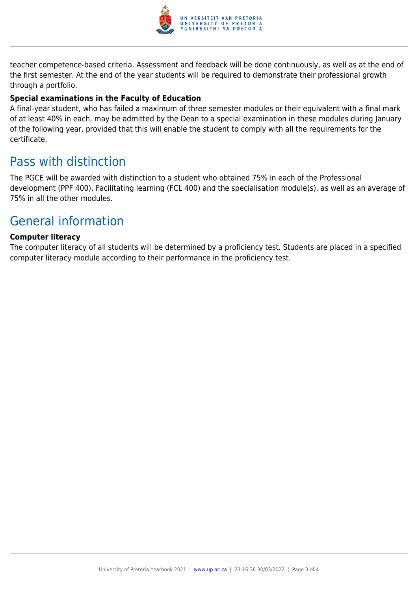

teacher competence-based criteria. Assessment and feedback will be done continuously, as well as at the end of the first semester. At the end of the year students will be required to demonstrate their professional growth through a portfolio.

#### **Special examinations in the Faculty of Education**

A final-year student, who has failed a maximum of three semester modules or their equivalent with a final mark of at least 40% in each, may be admitted by the Dean to a special examination in these modules during January of the following year, provided that this will enable the student to comply with all the requirements for the certificate.

### Pass with distinction

The PGCE will be awarded with distinction to a student who obtained 75% in each of the Professional development (PPF 400), Facilitating learning (FCL 400) and the specialisation module(s), as well as an average of 75% in all the other modules.

### General information

#### **Computer literacy**

The computer literacy of all students will be determined by a proficiency test. Students are placed in a specified computer literacy module according to their performance in the proficiency test.